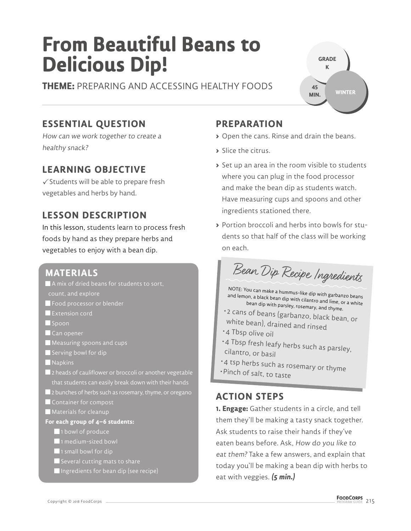# **From Beautiful Beans to Delicious Dip!**

**THEME:** PREPARING AND ACCESSING HEALTHY FOODS

## **GRADE K WINTER 45 MIN.**

# **ESSENTIAL QUESTION**

How can we work together to create a healthy snack?

## **LEARNING OBJECTIVE**

 $\checkmark$  Students will be able to prepare fresh vegetables and herbs by hand.

## **LESSON DESCRIPTION**

In this lesson, students learn to process fresh foods by hand as they prepare herbs and vegetables to enjoy with a bean dip.

### **MATERIALS**

- A mix of dried beans for students to sort,
- count, and explore
- **Food processor or blender**
- **Extension cord**
- Spoon
- Can opener
- Measuring spoons and cups
- Serving bowl for dip
- **Napkins**
- **2** heads of cauliflower or broccoli or another vegetable that students can easily break down with their hands
- **2** bunches of herbs such as rosemary, thyme, or oregano
- Container for compost
- Materials for cleanup
- **For each group of 4–6 students:**
	- 1 bowl of produce
	- 1 medium-sized bowl
	- $\blacksquare$  1 small bowl for dip
	- $\blacksquare$  Several cutting mats to share
	- Ingredients for bean dip (see recipe)

# **PREPARATION**

- **>** Open the cans. Rinse and drain the beans.
- **>** Slice the citrus.
- **>** Set up an area in the room visible to students where you can plug in the food processor and make the bean dip as students watch. Have measuring cups and spoons and other ingredients stationed there.
- **>** Portion broccoli and herbs into bowls for students so that half of the class will be working on each.

Bean Dip Recipe Ingredients

NOTE: You can make a hummus-like dip with garbanzo beans and lemon, a black bean dip with cilantro and lime, or a white bean dip with parsley, rosemary, and thyme.

- 2 cans of beans (garbanzo, black bean, or white bean), drained and rinsed
- 4 Tbsp olive oil
- 4 Tbsp fresh leafy herbs such as parsley, cilantro, or basil
- 4 tsp herbs such as rosemary or thyme
- Pinch of salt, to taste

## **ACTION STEPS**

**1. Engage:** Gather students in a circle, and tell them they'll be making a tasty snack together. Ask students to raise their hands if they've eaten beans before. Ask, How do you like to eat them? Take a few answers, and explain that today you'll be making a bean dip with herbs to eat with veggies. **(5 min.)**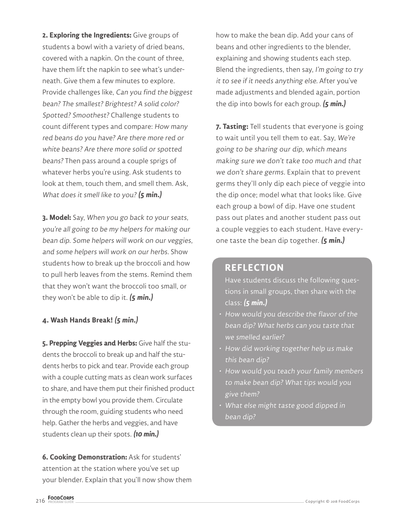**2. Exploring the Ingredients:** Give groups of students a bowl with a variety of dried beans, covered with a napkin. On the count of three, have them lift the napkin to see what's underneath. Give them a few minutes to explore. Provide challenges like, Can you find the biggest bean? The smallest? Brightest? A solid color? Spotted? Smoothest? Challenge students to count different types and compare: How many red beans do you have? Are there more red or white beans? Are there more solid or spotted beans? Then pass around a couple sprigs of whatever herbs you're using. Ask students to look at them, touch them, and smell them. Ask, What does it smell like to you? **(5 min.)**

**3. Model:** Say, When you go back to your seats, you're all going to be my helpers for making our bean dip. Some helpers will work on our veggies, and some helpers will work on our herbs. Show students how to break up the broccoli and how to pull herb leaves from the stems. Remind them that they won't want the broccoli too small, or they won't be able to dip it. **(5 min.)**

#### **4. Wash Hands Break! (5 min.)**

**5. Prepping Veggies and Herbs:** Give half the students the broccoli to break up and half the students herbs to pick and tear. Provide each group with a couple cutting mats as clean work surfaces to share, and have them put their finished product in the empty bowl you provide them. Circulate through the room, guiding students who need help. Gather the herbs and veggies, and have students clean up their spots. **(10 min.)**

**6. Cooking Demonstration:** Ask for students' attention at the station where you've set up your blender. Explain that you'll now show them

how to make the bean dip. Add your cans of beans and other ingredients to the blender, explaining and showing students each step. Blend the ingredients, then say, I'm going to try it to see if it needs anything else. After you've made adjustments and blended again, portion the dip into bowls for each group. **(5 min.)**

**7. Tasting:** Tell students that everyone is going to wait until you tell them to eat. Say, We're going to be sharing our dip, which means making sure we don't take too much and that we don't share germs. Explain that to prevent germs they'll only dip each piece of veggie into the dip once; model what that looks like. Give each group a bowl of dip. Have one student pass out plates and another student pass out a couple veggies to each student. Have everyone taste the bean dip together. **(5 min.)**

#### **REFLECTION**

Have students discuss the following questions in small groups, then share with the class: **(5 min.)**

- How would you describe the flavor of the bean dip? What herbs can you taste that we smelled earlier?
- How did working together help us make this bean dip?
- How would you teach your family members to make bean dip? What tips would you give them?
- What else might taste good dipped in bean dip?